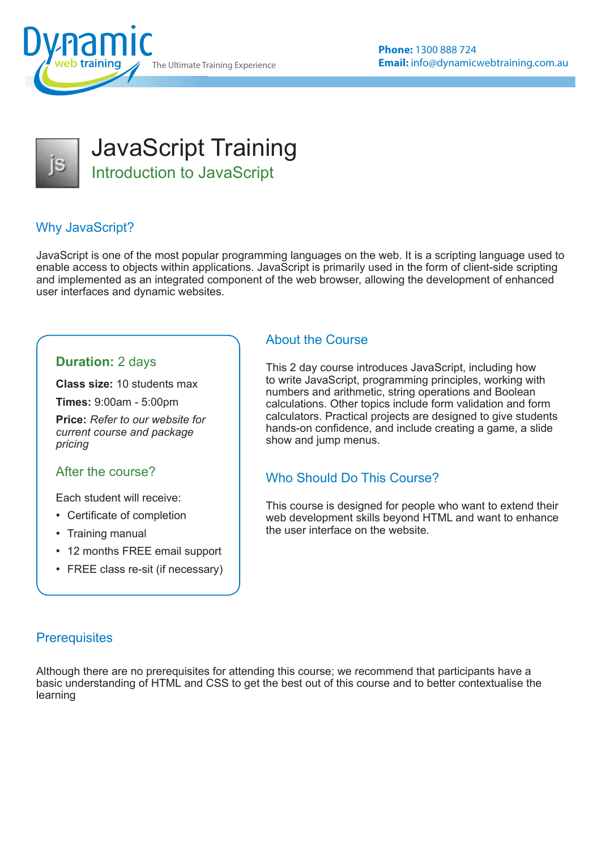The Ultimate Training Experience



JavaScript Training Introduction to JavaScript

# Why JavaScript?

JavaScript is one of the most popular programming languages on the web. It is a scripting language used to enable access to objects within applications. JavaScript is primarily used in the form of client-side scripting and implemented as an integrated component of the web browser, allowing the development of enhanced user interfaces and dynamic websites.

### **Duration:** 2 days

**Class size:** 10 students max

**Times:** 9:00am - 5:00pm

**Price:** *Refer to our website for current course and package pricing*

#### After the course?

Each student will receive:

- Certificate of completion
- Training manual
- 12 months FREE email support
- FREE class re-sit (if necessary)

#### About the Course

This 2 day course introduces JavaScript, including how to write JavaScript, programming principles, working with numbers and arithmetic, string operations and Boolean calculations. Other topics include form validation and form calculators. Practical projects are designed to give students hands-on confidence, and include creating a game, a slide show and jump menus.

### Who Should Do This Course?

This course is designed for people who want to extend their web development skills beyond HTML and want to enhance the user interface on the website.

#### **Prerequisites**

Although there are no prerequisites for attending this course; we recommend that participants have a basic understanding of HTML and CSS to get the best out of this course and to better contextualise the learning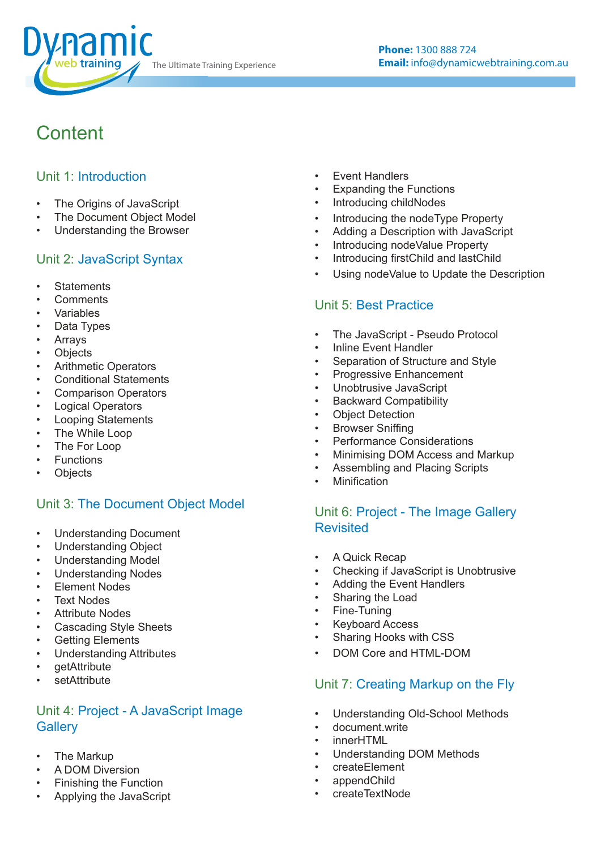

# **Content**

### Unit 1: Introduction

- The Origins of JavaScript
- The Document Object Model
- Understanding the Browser

### Unit 2: JavaScript Syntax

- **Statements**
- **Comments**
- **Variables**
- Data Types
- **Arrays**
- **Objects**
- Arithmetic Operators
- Conditional Statements
- Comparison Operators
- **Logical Operators**
- Looping Statements
- The While Loop
- The For Loop
- Functions
- **Objects**

### Unit 3: The Document Object Model

- Understanding Document
- Understanding Object
- Understanding Model
- Understanding Nodes
- Element Nodes
- **Text Nodes**
- **Attribute Nodes**
- Cascading Style Sheets
- **Getting Elements**
- Understanding Attributes
- getAttribute
- setAttribute

### Unit 4: Project - A JavaScript Image **Gallery**

- The Markup
- A DOM Diversion
- Finishing the Function
- Applying the JavaScript
- **Event Handlers**
- Expanding the Functions
- Introducing childNodes
- Introducing the nodeType Property
- Adding a Description with JavaScript
- Introducing nodeValue Property
- Introducing firstChild and lastChild
- Using nodeValue to Update the Description

## Unit 5: Best Practice

- The JavaScript Pseudo Protocol
- Inline Event Handler
- Separation of Structure and Style
- Progressive Enhancement
- Unobtrusive JavaScript
- Backward Compatibility
- **Object Detection**
- Browser Sniffing
- Performance Considerations
- Minimising DOM Access and Markup
- Assembling and Placing Scripts
- **Minification**

### Unit 6: Project - The Image Gallery Revisited

- A Quick Recap
- Checking if JavaScript is Unobtrusive
- Adding the Event Handlers
- Sharing the Load
- Fine-Tuning
- Keyboard Access
- Sharing Hooks with CSS
- DOM Core and HTML-DOM

## Unit 7: Creating Markup on the Fly

- Understanding Old-School Methods
- document.write
- innerHTML
- Understanding DOM Methods
- createElement
- appendChild
- createTextNode